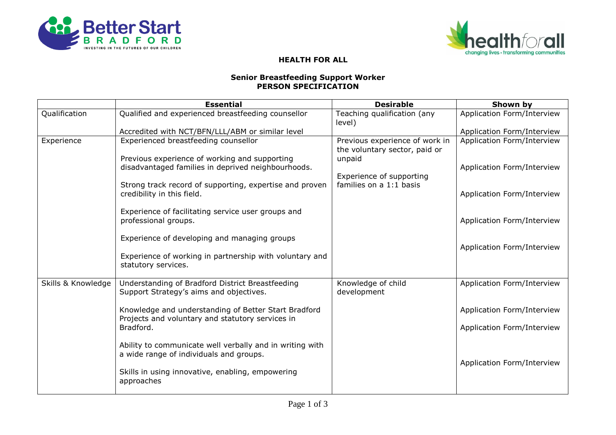



## **HEALTH FOR ALL**

## **Senior Breastfeeding Support Worker PERSON SPECIFICATION**

|                    | <b>Essential</b>                                                                                         | <b>Desirable</b>                                                          | Shown by                   |
|--------------------|----------------------------------------------------------------------------------------------------------|---------------------------------------------------------------------------|----------------------------|
| Qualification      | Qualified and experienced breastfeeding counsellor                                                       | Teaching qualification (any<br>level)                                     | Application Form/Interview |
|                    | Accredited with NCT/BFN/LLL/ABM or similar level                                                         |                                                                           | Application Form/Interview |
| Experience         | Experienced breastfeeding counsellor<br>Previous experience of working and supporting                    | Previous experience of work in<br>the voluntary sector, paid or<br>unpaid | Application Form/Interview |
|                    | disadvantaged families in deprived neighbourhoods.                                                       | Experience of supporting                                                  | Application Form/Interview |
|                    | Strong track record of supporting, expertise and proven<br>credibility in this field.                    | families on a 1:1 basis                                                   | Application Form/Interview |
|                    | Experience of facilitating service user groups and<br>professional groups.                               |                                                                           | Application Form/Interview |
|                    | Experience of developing and managing groups                                                             |                                                                           | Application Form/Interview |
|                    | Experience of working in partnership with voluntary and<br>statutory services.                           |                                                                           |                            |
| Skills & Knowledge | Understanding of Bradford District Breastfeeding<br>Support Strategy's aims and objectives.              | Knowledge of child<br>development                                         | Application Form/Interview |
|                    | Knowledge and understanding of Better Start Bradford<br>Projects and voluntary and statutory services in |                                                                           | Application Form/Interview |
|                    | Bradford.                                                                                                |                                                                           | Application Form/Interview |
|                    | Ability to communicate well verbally and in writing with<br>a wide range of individuals and groups.      |                                                                           | Application Form/Interview |
|                    | Skills in using innovative, enabling, empowering<br>approaches                                           |                                                                           |                            |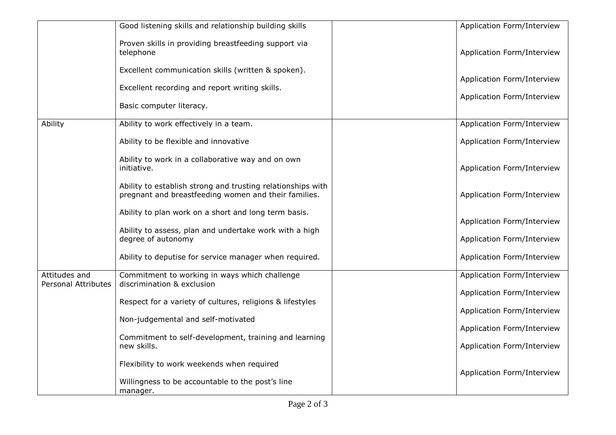|                                             | Good listening skills and relationship building skills                                                                                                                         | Application Form/Interview |
|---------------------------------------------|--------------------------------------------------------------------------------------------------------------------------------------------------------------------------------|----------------------------|
|                                             | Proven skills in providing breastfeeding support via<br>telephone                                                                                                              | Application Form/Interview |
|                                             | Excellent communication skills (written & spoken).                                                                                                                             | Application Form/Interview |
|                                             | Excellent recording and report writing skills.                                                                                                                                 | Application Form/Interview |
|                                             | Basic computer literacy.                                                                                                                                                       |                            |
| Ability                                     | Ability to work effectively in a team.                                                                                                                                         | Application Form/Interview |
|                                             | Ability to be flexible and innovative                                                                                                                                          | Application Form/Interview |
|                                             | Ability to work in a collaborative way and on own<br>initiative.                                                                                                               | Application Form/Interview |
|                                             | Ability to establish strong and trusting relationships with<br>pregnant and breastfeeding women and their families.                                                            | Application Form/Interview |
|                                             | Ability to plan work on a short and long term basis.                                                                                                                           | Application Form/Interview |
|                                             | Ability to assess, plan and undertake work with a high<br>degree of autonomy                                                                                                   | Application Form/Interview |
|                                             | Ability to deputise for service manager when required.                                                                                                                         | Application Form/Interview |
| Attitudes and<br><b>Personal Attributes</b> | Commitment to working in ways which challenge<br>discrimination & exclusion<br>Respect for a variety of cultures, religions & lifestyles<br>Non-judgemental and self-motivated | Application Form/Interview |
|                                             |                                                                                                                                                                                | Application Form/Interview |
|                                             |                                                                                                                                                                                | Application Form/Interview |
|                                             |                                                                                                                                                                                | Application Form/Interview |
|                                             | Commitment to self-development, training and learning<br>new skills.                                                                                                           | Application Form/Interview |
|                                             | Flexibility to work weekends when required                                                                                                                                     | Application Form/Interview |
|                                             | Willingness to be accountable to the post's line<br>manager.                                                                                                                   |                            |